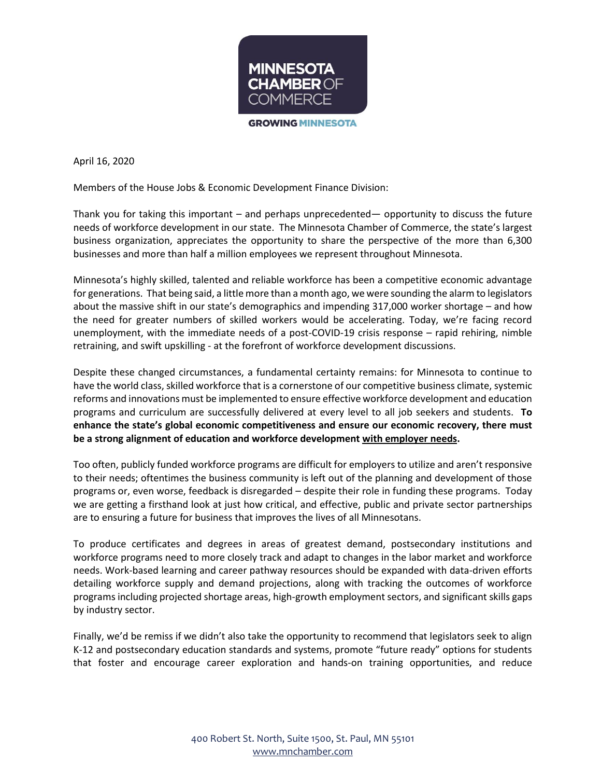

April 16, 2020

Members of the House Jobs & Economic Development Finance Division:

Thank you for taking this important – and perhaps unprecedented— opportunity to discuss the future needs of workforce development in our state. The Minnesota Chamber of Commerce, the state's largest business organization, appreciates the opportunity to share the perspective of the more than 6,300 businesses and more than half a million employees we represent throughout Minnesota.

Minnesota's highly skilled, talented and reliable workforce has been a competitive economic advantage for generations. That being said, a little more than a month ago, we were sounding the alarm to legislators about the massive shift in our state's demographics and impending 317,000 worker shortage – and how the need for greater numbers of skilled workers would be accelerating. Today, we're facing record unemployment, with the immediate needs of a post-COVID-19 crisis response – rapid rehiring, nimble retraining, and swift upskilling - at the forefront of workforce development discussions.

Despite these changed circumstances, a fundamental certainty remains: for Minnesota to continue to have the world class, skilled workforce that is a cornerstone of our competitive business climate, systemic reforms and innovations must be implemented to ensure effective workforce development and education programs and curriculum are successfully delivered at every level to all job seekers and students. **To enhance the state's global economic competitiveness and ensure our economic recovery, there must be a strong alignment of education and workforce development with employer needs.**

Too often, publicly funded workforce programs are difficult for employers to utilize and aren't responsive to their needs; oftentimes the business community is left out of the planning and development of those programs or, even worse, feedback is disregarded – despite their role in funding these programs. Today we are getting a firsthand look at just how critical, and effective, public and private sector partnerships are to ensuring a future for business that improves the lives of all Minnesotans.

To produce certificates and degrees in areas of greatest demand, postsecondary institutions and workforce programs need to more closely track and adapt to changes in the labor market and workforce needs. Work-based learning and career pathway resources should be expanded with data-driven efforts detailing workforce supply and demand projections, along with tracking the outcomes of workforce programs including projected shortage areas, high-growth employment sectors, and significant skills gaps by industry sector.

Finally, we'd be remiss if we didn't also take the opportunity to recommend that legislators seek to align K-12 and postsecondary education standards and systems, promote "future ready" options for students that foster and encourage career exploration and hands-on training opportunities, and reduce